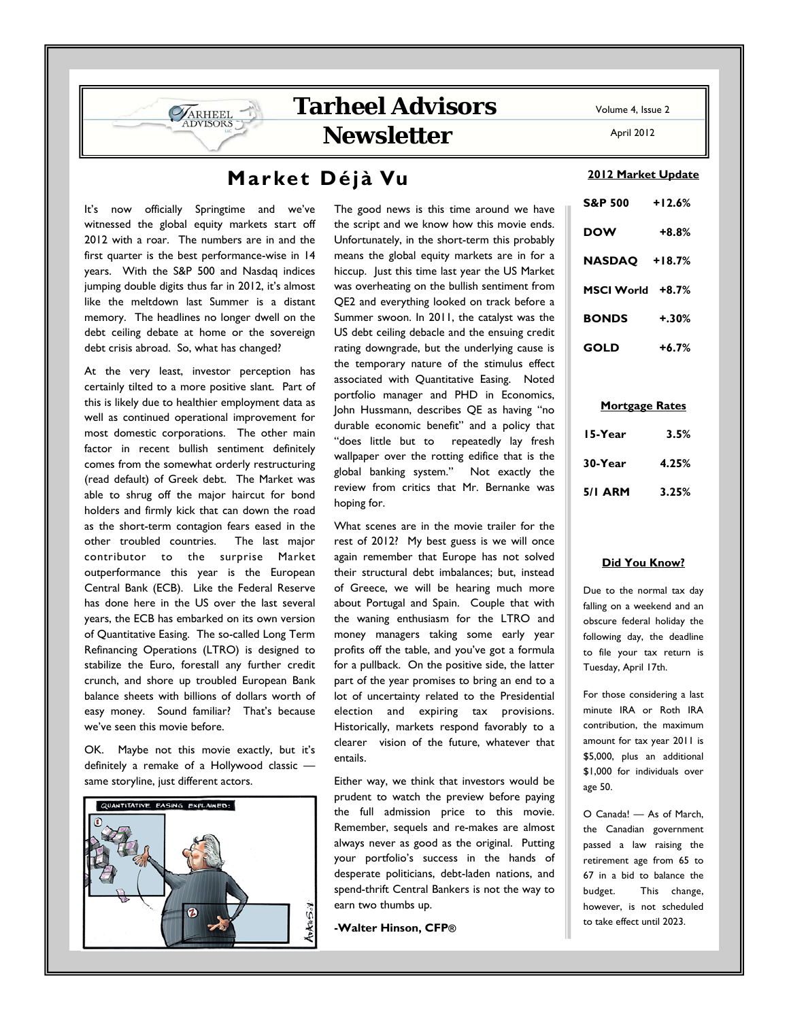# **Market Déjà Vu**

It's now officially Springtime and we've witnessed the global equity markets start off 2012 with a roar. The numbers are in and the first quarter is the best performance-wise in 14 years. With the S&P 500 and Nasdaq indices jumping double digits thus far in 2012, it's almost like the meltdown last Summer is a distant memory. The headlines no longer dwell on the debt ceiling debate at home or the sovereign debt crisis abroad. So, what has changed?

**SARHEEL** 

At the very least, investor perception has certainly tilted to a more positive slant. Part of this is likely due to healthier employment data as well as continued operational improvement for most domestic corporations. The other main factor in recent bullish sentiment definitely comes from the somewhat orderly restructuring (read default) of Greek debt. The Market was able to shrug off the major haircut for bond holders and firmly kick that can down the road as the short-term contagion fears eased in the other troubled countries. The last major contributor to the surprise Market outperformance this year is the European Central Bank (ECB). Like the Federal Reserve has done here in the US over the last several years, the ECB has embarked on its own version of Quantitative Easing. The so-called Long Term Refinancing Operations (LTRO) is designed to stabilize the Euro, forestall any further credit crunch, and shore up troubled European Bank balance sheets with billions of dollars worth of easy money. Sound familiar? That's because we've seen this movie before.

OK. Maybe not this movie exactly, but it's definitely a remake of a Hollywood classic same storyline, just different actors.



The good news is this time around we have the script and we know how this movie ends. Unfortunately, in the short-term this probably means the global equity markets are in for a hiccup. Just this time last year the US Market was overheating on the bullish sentiment from QE2 and everything looked on track before a Summer swoon. In 2011, the catalyst was the US debt ceiling debacle and the ensuing credit rating downgrade, but the underlying cause is the temporary nature of the stimulus effect associated with Quantitative Easing. Noted portfolio manager and PHD in Economics, John Hussmann, describes QE as having "no durable economic benefit" and a policy that "does little but to repeatedly lay fresh wallpaper over the rotting edifice that is the global banking system." Not exactly the review from critics that Mr. Bernanke was hoping for.

What scenes are in the movie trailer for the rest of 2012? My best guess is we will once again remember that Europe has not solved their structural debt imbalances; but, instead of Greece, we will be hearing much more about Portugal and Spain. Couple that with the waning enthusiasm for the LTRO and money managers taking some early year profits off the table, and you've got a formula for a pullback. On the positive side, the latter part of the year promises to bring an end to a lot of uncertainty related to the Presidential election and expiring tax provisions. Historically, markets respond favorably to a clearer vision of the future, whatever that entails.

Either way, we think that investors would be prudent to watch the preview before paying the full admission price to this movie. Remember, sequels and re-makes are almost always never as good as the original. Putting your portfolio's success in the hands of desperate politicians, debt-laden nations, and spend-thrift Central Bankers is not the way to earn two thumbs up.

**-Walter Hinson, CFP®**

April 2012

### **2012 Market Update**

| <b>S&amp;P 500</b>   | $+12.6%$ |
|----------------------|----------|
| <b>DOW</b>           | $+8.8%$  |
| <b>NASDAO +18.7%</b> |          |
| MSCI World +8.7%     |          |
| <b>BONDS</b>         | $+.30%$  |
| <b>GOLD</b>          | $+6.7\%$ |

#### **Mortgage Rates**

| 15-Year        | 3.5%  |
|----------------|-------|
| 30-Year        | 4.25% |
| <b>5/1 ARM</b> | 3.25% |

#### **Did You Know?**

Due to the normal tax day falling on a weekend and an obscure federal holiday the following day, the deadline to file your tax return is Tuesday, April 17th.

For those considering a last minute IRA or Roth IRA contribution, the maximum amount for tax year 2011 is \$5,000, plus an additional \$1,000 for individuals over age 50.

O Canada! — As of March, the Canadian government passed a law raising the retirement age from 65 to 67 in a bid to balance the budget. This change, however, is not scheduled to take effect until 2023.